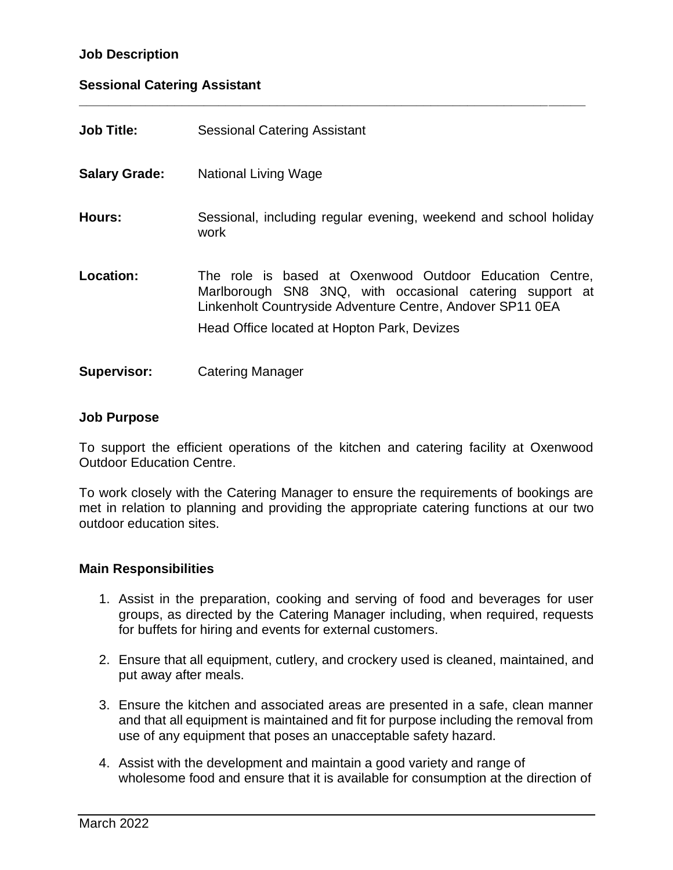# **Job Description**

### **Sessional Catering Assistant**

| <b>Job Title:</b>    | <b>Sessional Catering Assistant</b>                                                                                                                                                                                             |
|----------------------|---------------------------------------------------------------------------------------------------------------------------------------------------------------------------------------------------------------------------------|
| <b>Salary Grade:</b> | National Living Wage                                                                                                                                                                                                            |
| Hours:               | Sessional, including regular evening, weekend and school holiday<br>work                                                                                                                                                        |
| Location:            | The role is based at Oxenwood Outdoor Education Centre,<br>Marlborough SN8 3NQ, with occasional catering support at<br>Linkenholt Countryside Adventure Centre, Andover SP11 0EA<br>Head Office located at Hopton Park, Devizes |
| <b>Supervisor:</b>   | <b>Catering Manager</b>                                                                                                                                                                                                         |

**\_\_\_\_\_\_\_\_\_\_\_\_\_\_\_\_\_\_\_\_\_\_\_\_\_\_\_\_\_\_\_\_\_\_\_\_\_\_\_\_\_\_\_\_\_\_\_\_\_\_\_\_\_\_\_\_\_\_\_\_\_\_\_\_\_\_\_\_\_**

### **Job Purpose**

To support the efficient operations of the kitchen and catering facility at Oxenwood Outdoor Education Centre.

To work closely with the Catering Manager to ensure the requirements of bookings are met in relation to planning and providing the appropriate catering functions at our two outdoor education sites.

### **Main Responsibilities**

- 1. Assist in the preparation, cooking and serving of food and beverages for user groups, as directed by the Catering Manager including, when required, requests for buffets for hiring and events for external customers.
- 2. Ensure that all equipment, cutlery, and crockery used is cleaned, maintained, and put away after meals.
- 3. Ensure the kitchen and associated areas are presented in a safe, clean manner and that all equipment is maintained and fit for purpose including the removal from use of any equipment that poses an unacceptable safety hazard.
- 4. Assist with the development and maintain a good variety and range of wholesome food and ensure that it is available for consumption at the direction of